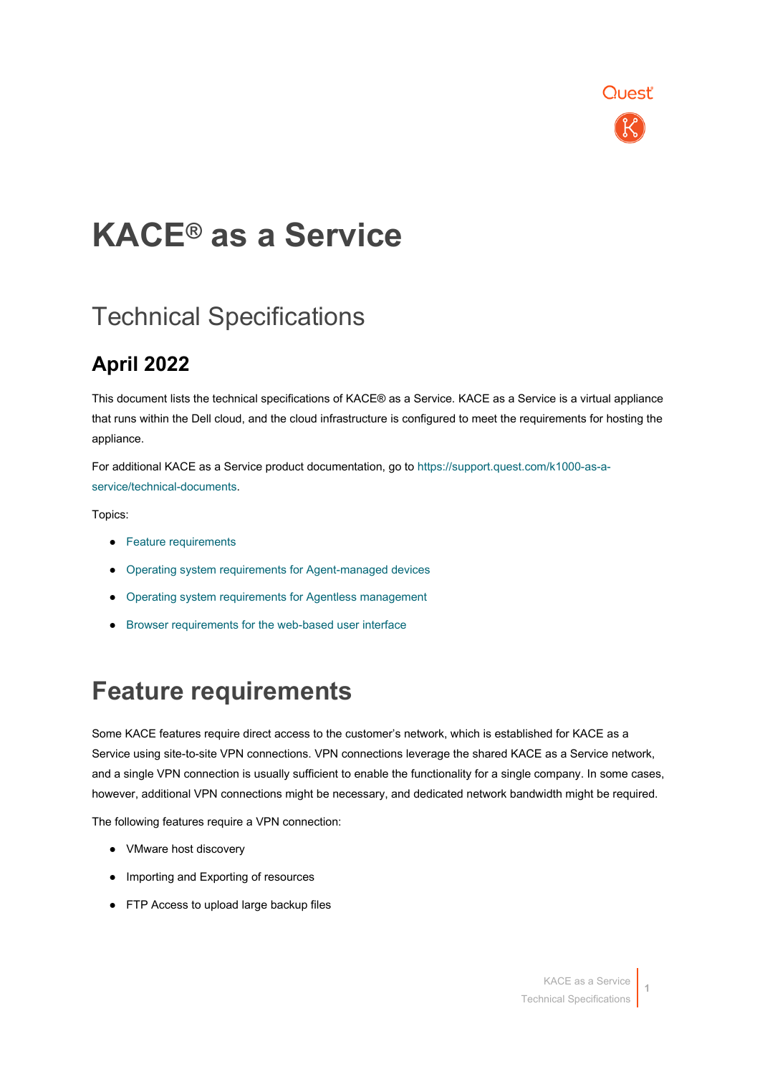

## **KACE® as a Service**

### Technical Specifications

### **April 2022**

This document lists the technical specifications of KACE® as a Service. KACE as a Service is a virtual appliance that runs within the Dell cloud, and the cloud infrastructure is configured to meet the requirements for hosting the appliance.

For additional KACE as a Service product documentation, go to [https://support.quest.com/k1000-as-a](https://support.quest.com/k1000-as-a-service/technical-documents)[service/technical-documents.](https://support.quest.com/k1000-as-a-service/technical-documents)

Topics:

- [Feature requirements](#page-0-0)
- [Operating system requirements for Agent-managed devices](#page-1-0)
- Operating system requirements for Agentless management
- <span id="page-0-0"></span>● [Browser requirements for the web-based user interface](#page-2-0)

### **Feature requirements**

Some KACE features require direct access to the customer's network, which is established for KACE as a Service using site-to-site VPN connections. VPN connections leverage the shared KACE as a Service network, and a single VPN connection is usually sufficient to enable the functionality for a single company. In some cases, however, additional VPN connections might be necessary, and dedicated network bandwidth might be required.

The following features require a VPN connection:

- VMware host discovery
- Importing and Exporting of resources
- FTP Access to upload large backup files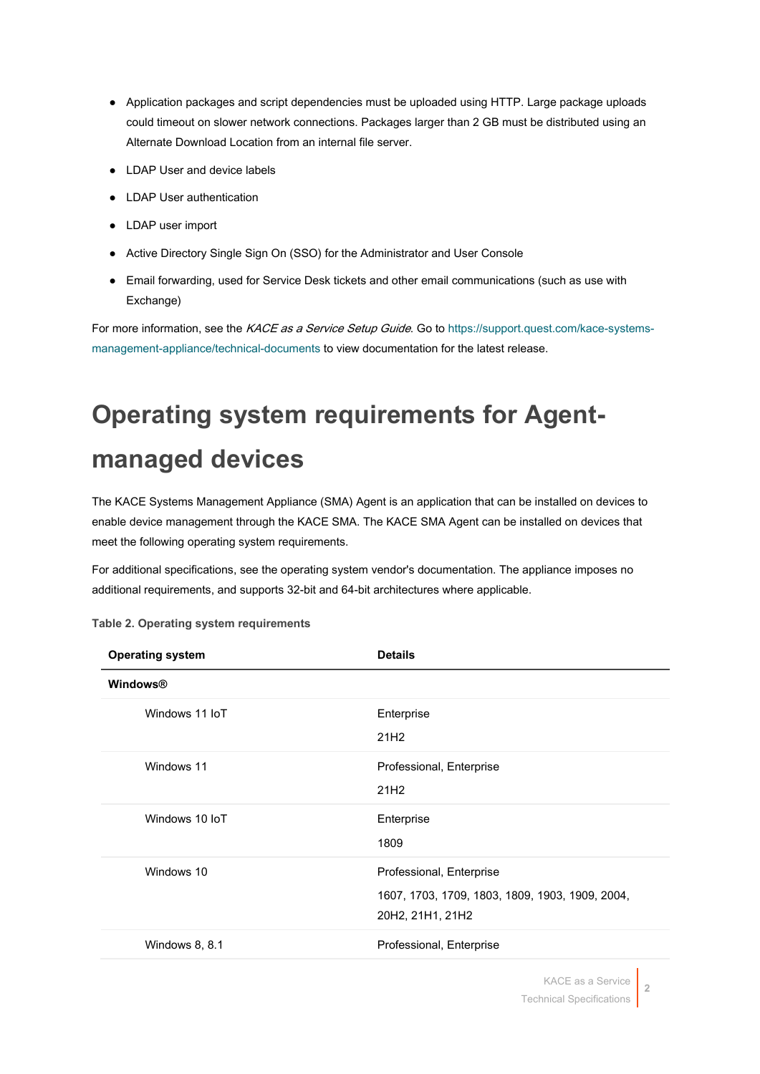- Application packages and script dependencies must be uploaded using HTTP. Large package uploads could timeout on slower network connections. Packages larger than 2 GB must be distributed using an Alternate Download Location from an internal file server.
- LDAP User and device labels
- LDAP User authentication
- LDAP user import
- Active Directory Single Sign On (SSO) for the Administrator and User Console
- Email forwarding, used for Service Desk tickets and other email communications (such as use with Exchange)

For more information, see the KACE as a Service Setup Guide. Go to [https://support.quest.com/kace-systems](https://support.quest.com/kace-systems-management-appliance/technical-documents)[management-appliance/technical-documents](https://support.quest.com/kace-systems-management-appliance/technical-documents) to view documentation for the latest release.

## <span id="page-1-0"></span>**Operating system requirements for Agentmanaged devices**

The KACE Systems Management Appliance (SMA) Agent is an application that can be installed on devices to enable device management through the KACE SMA. The KACE SMA Agent can be installed on devices that meet the following operating system requirements.

For additional specifications, see the operating system vendor's documentation. The appliance imposes no additional requirements, and supports 32-bit and 64-bit architectures where applicable.

| <b>Windows®</b>                                                                                               |  |
|---------------------------------------------------------------------------------------------------------------|--|
|                                                                                                               |  |
| Windows 11 IoT<br>Enterprise<br>21H <sub>2</sub>                                                              |  |
| Windows 11<br>Professional, Enterprise<br>21H <sub>2</sub>                                                    |  |
| Windows 10 IoT<br>Enterprise<br>1809                                                                          |  |
| Windows 10<br>Professional, Enterprise<br>1607, 1703, 1709, 1803, 1809, 1903, 1909, 2004,<br>20H2, 21H1, 21H2 |  |
| Windows 8, 8.1<br>Professional, Enterprise                                                                    |  |

**Table 2. Operating system requirements**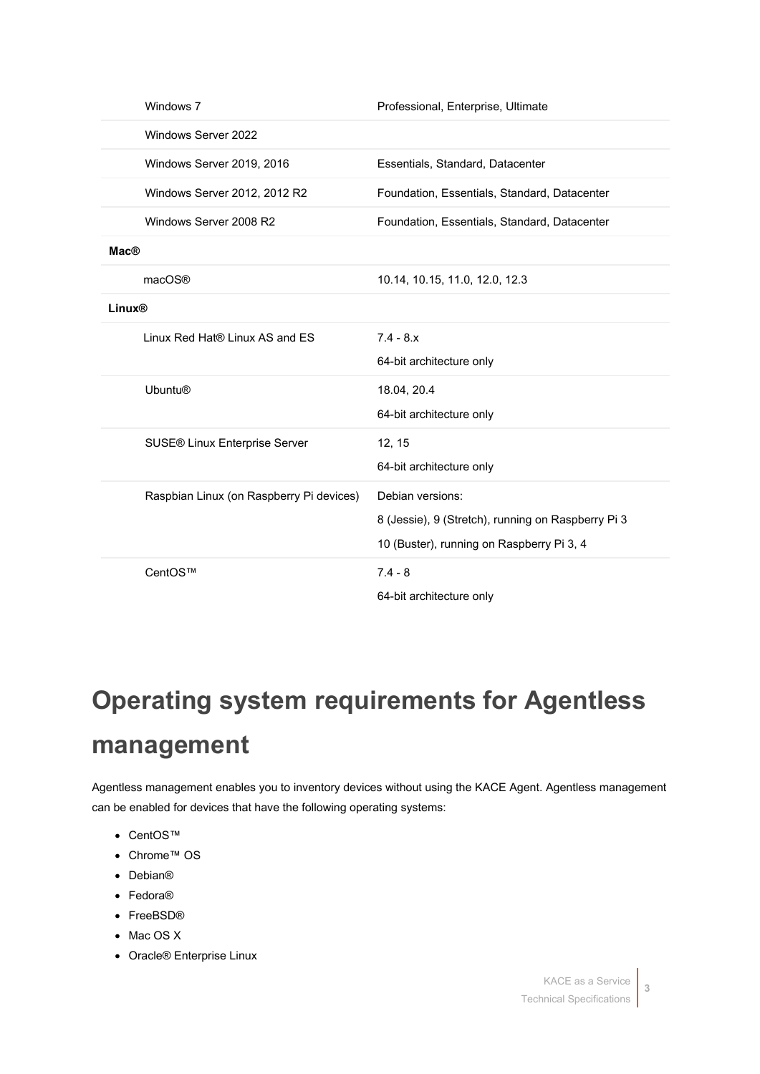| Windows 7                                | Professional, Enterprise, Ultimate                 |
|------------------------------------------|----------------------------------------------------|
| Windows Server 2022                      |                                                    |
| Windows Server 2019, 2016                | Essentials, Standard, Datacenter                   |
| Windows Server 2012, 2012 R2             | Foundation, Essentials, Standard, Datacenter       |
| Windows Server 2008 R2                   | Foundation, Essentials, Standard, Datacenter       |
| <b>Mac®</b>                              |                                                    |
| macOS®                                   | 10.14, 10.15, 11.0, 12.0, 12.3                     |
| Linux®                                   |                                                    |
| Linux Red Hat® Linux AS and ES           | $7.4 - 8.x$                                        |
|                                          | 64-bit architecture only                           |
| <b>Ubuntu®</b>                           | 18.04, 20.4                                        |
|                                          | 64-bit architecture only                           |
| SUSE® Linux Enterprise Server            | 12, 15                                             |
|                                          | 64-bit architecture only                           |
| Raspbian Linux (on Raspberry Pi devices) | Debian versions:                                   |
|                                          | 8 (Jessie), 9 (Stretch), running on Raspberry Pi 3 |
|                                          | 10 (Buster), running on Raspberry Pi 3, 4          |
| CentOS™                                  | $7.4 - 8$                                          |
|                                          | 64-bit architecture only                           |

## **Operating system requirements for Agentless management**

Agentless management enables you to inventory devices without using the KACE Agent. Agentless management can be enabled for devices that have the following operating systems:

- <span id="page-2-0"></span>• CentOS™
- Chrome™ OS
- Debian®
- Fedora®
- FreeBSD®
- Mac OS X
- Oracle® Enterprise Linux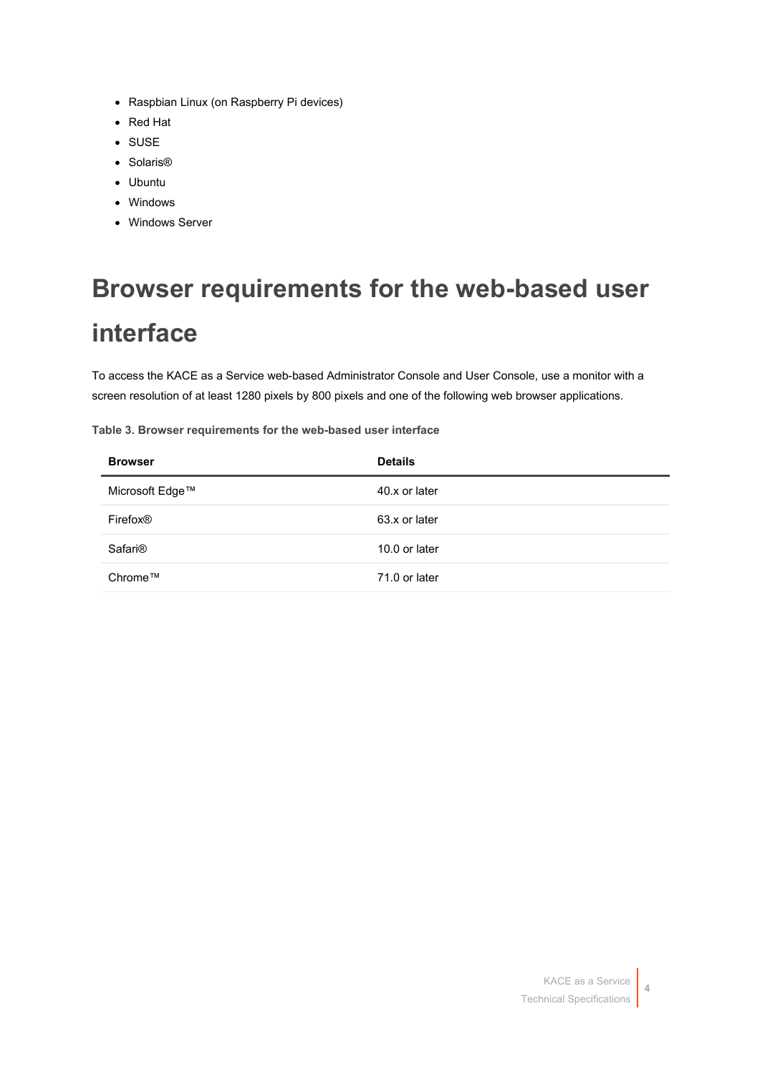- Raspbian Linux (on Raspberry Pi devices)
- Red Hat
- SUSE
- Solaris®
- Ubuntu
- Windows
- Windows Server

# **Browser requirements for the web-based user interface**

To access the KACE as a Service web-based Administrator Console and User Console, use a monitor with a screen resolution of at least 1280 pixels by 800 pixels and one of the following web browser applications.

**Table 3. Browser requirements for the web-based user interface**

| <b>Browser</b>       | <b>Details</b> |
|----------------------|----------------|
| Microsoft Edge™      | 40.x or later  |
| Firefox <sup>®</sup> | 63.x or later  |
| Safari <sup>®</sup>  | 10.0 or later  |
| Chrome™              | 71.0 or later  |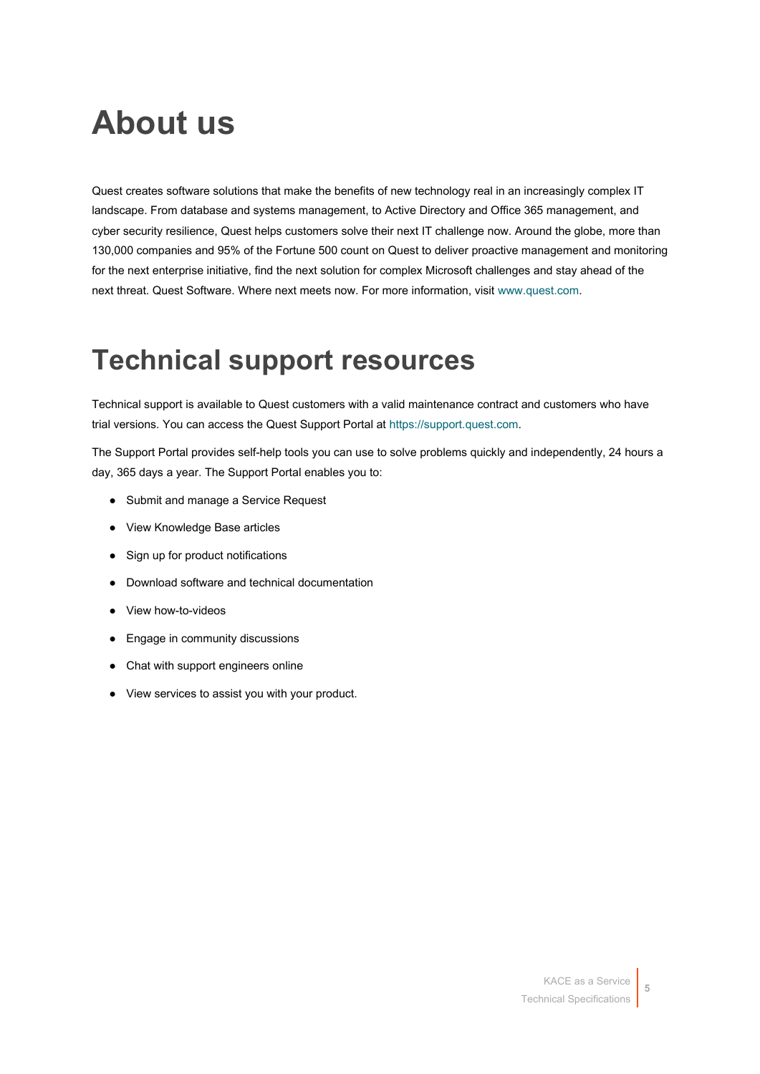## **About us**

Quest creates software solutions that make the benefits of new technology real in an increasingly complex IT landscape. From database and systems management, to Active Directory and Office 365 management, and cyber security resilience, Quest helps customers solve their next IT challenge now. Around the globe, more than 130,000 companies and 95% of the Fortune 500 count on Quest to deliver proactive management and monitoring for the next enterprise initiative, find the next solution for complex Microsoft challenges and stay ahead of the next threat. Quest Software. Where next meets now. For more information, visit [www.quest.com.](https://www.quest.com/company/contact-us.aspx)

### **Technical support resources**

Technical support is available to Quest customers with a valid maintenance contract and customers who have trial versions. You can access the Quest Support Portal at [https://support.quest.com.](https://support.quest.com/)

The Support Portal provides self-help tools you can use to solve problems quickly and independently, 24 hours a day, 365 days a year. The Support Portal enables you to:

- Submit and manage a Service Request
- View Knowledge Base articles
- Sign up for product notifications
- Download software and technical documentation
- View how-to-videos
- Engage in community discussions
- Chat with support engineers online
- View services to assist you with your product.